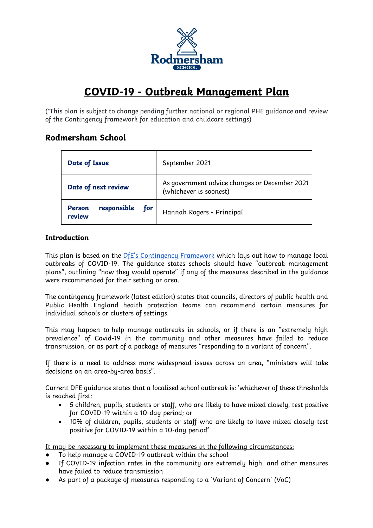

# **COVID-19 - Outbreak Management Plan**

(\*This plan is subject to change pending further national or regional PHE guidance and review of the Contingency framework for education and childcare settings)

# **Rodmersham School**

| Date of Issue                                 | September 2021                                                          |
|-----------------------------------------------|-------------------------------------------------------------------------|
| Date of next review                           | As government advice changes or December 2021<br>(whichever is soonest) |
| responsible<br>for<br><b>Person</b><br>review | Hannah Rogers - Principal                                               |

## **Introduction**

This plan is based on the  $DfE's$  Contingency Framework which lays out how to manage local outbreaks of COVID-19. The guidance states schools should have "outbreak management plans", outlining "how they would operate" if any of the measures described in the guidance were recommended for their setting or area.

The contingency framework (latest edition) states that councils, directors of public health and Public Health England health protection teams can recommend certain measures for individual schools or clusters of settings.

This may happen to help manage outbreaks in schools, or if there is an "extremely high prevalence" of Covid-19 in the community and other measures have failed to reduce transmission, or as part of a package of measures "responding to a variant of concern".

If there is a need to address more widespread issues across an area, "ministers will take decisions on an area-by-area basis".

Current DFE guidance states that a localised school outbreak is: 'whichever of these thresholds is reached first:

- 5 children, pupils, students or staff, who are likely to have mixed closely, test positive for COVID-19 within a 10-day period; or
- 10% of children, pupils, students or staff who are likely to have mixed closely test positive for COVID-19 within a 10-day period**'**

It may be necessary to implement these measures in the following circumstances:

- To help manage a COVID-19 outbreak within the school
- If COVID-19 infection rates in the community are extremely high, and other measures have failed to reduce transmission
- As part of a package of measures responding to a 'Variant of Concern' (VoC)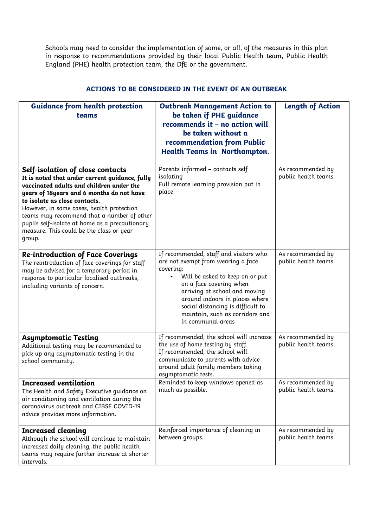Schools may need to consider the implementation of some, or all, of the measures in this plan in response to recommendations provided by their local Public Health team, Public Health England (PHE) health protection team, the DfE or the government.

| <b>Guidance from health protection</b><br>teams                                                                                                                                                                                                                                                                                                                                                                 | <b>Outbreak Management Action to</b><br>be taken if PHE guidance<br>recommends it - no action will<br>be taken without a<br>recommendation from Public<br>Health Teams in Northampton.                                                                                                                                  | <b>Length of Action</b>                   |
|-----------------------------------------------------------------------------------------------------------------------------------------------------------------------------------------------------------------------------------------------------------------------------------------------------------------------------------------------------------------------------------------------------------------|-------------------------------------------------------------------------------------------------------------------------------------------------------------------------------------------------------------------------------------------------------------------------------------------------------------------------|-------------------------------------------|
| Self-isolation of close contacts<br>It is noted that under current guidance, fully<br>vaccinated adults and children under the<br>years of 18years and 6 months do not have<br>to isolate as close contacts.<br>However, in some cases, health protection<br>teams may recommend that a number of other<br>pupils self-isolate at home as a precautionary<br>measure. This could be the class or year<br>group. | Parents informed - contacts self<br>isolating<br>Full remote learning provision put in<br>place                                                                                                                                                                                                                         | As recommended by<br>public health teams. |
| <b>Re-introduction of Face Coverings</b><br>The reintroduction of face coverings for staff<br>may be advised for a temporary period in<br>response to particular localised outbreaks,<br>including variants of concern.                                                                                                                                                                                         | If recommended, staff and visitors who<br>are not exempt from wearing a face<br>covering:<br>Will be asked to keep on or put<br>on a face covering when<br>arriving at school and moving<br>around indoors in places where<br>social distancing is difficult to<br>maintain, such as corridors and<br>in communal areas | As recommended by<br>public health teams. |
| <b>Asymptomatic Testing</b><br>Additional testing may be recommended to<br>pick up any asymptomatic testing in the<br>school community.                                                                                                                                                                                                                                                                         | If recommended, the school will increase<br>the use of home testing by staff.<br>If recommended, the school will<br>communicate to parents with advice<br>around adult family members taking<br>asymptomatic tests.                                                                                                     | As recommended by<br>public health teams. |
| <b>Increased ventilation</b><br>The Health and Safety Executive quidance on<br>air conditioning and ventilation during the<br>coronavirus outbreak and CIBSE COVID-19<br>advice provides more information.                                                                                                                                                                                                      | Reminded to keep windows opened as<br>much as possible.                                                                                                                                                                                                                                                                 | As recommended by<br>public health teams. |
| <b>Increased cleaning</b><br>Although the school will continue to maintain<br>increased daily cleaning, the public health<br>teams may require further increase at shorter<br>intervals.                                                                                                                                                                                                                        | Reinforced importance of cleaning in<br>between groups.                                                                                                                                                                                                                                                                 | As recommended by<br>public health teams. |

## **ACTIONS TO BE CONSIDERED IN THE EVENT OF AN OUTBREAK**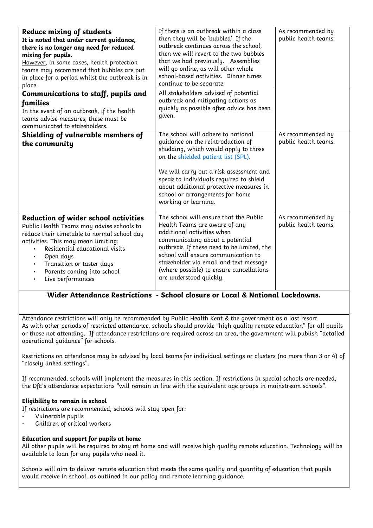| Reduce mixing of students<br>It is noted that under current guidance,<br>there is no longer any need for reduced<br>mixing for pupils.<br>However, in some cases, health protection<br>teams may recommend that bubbles are put<br>in place for a period whilst the outbreak is in<br>place.<br>Communications to staff, pupils and                                     | If there is an outbreak within a class<br>then they will be 'bubbled'. If the<br>outbreak continues across the school,<br>then we will revert to the two bubbles<br>that we had previously. Assemblies<br>will go online, as will other whole<br>school-based activities. Dinner times<br>continue to be separate.<br>All stakeholders advised of potential | As recommended by<br>public health teams. |
|-------------------------------------------------------------------------------------------------------------------------------------------------------------------------------------------------------------------------------------------------------------------------------------------------------------------------------------------------------------------------|-------------------------------------------------------------------------------------------------------------------------------------------------------------------------------------------------------------------------------------------------------------------------------------------------------------------------------------------------------------|-------------------------------------------|
| families<br>In the event of an outbreak, if the health<br>teams advise measures, these must be<br>communicated to stakeholders.                                                                                                                                                                                                                                         | outbreak and mitigating actions as<br>quickly as possible after advice has been<br>given.                                                                                                                                                                                                                                                                   |                                           |
| Shielding of vulnerable members of<br>the community                                                                                                                                                                                                                                                                                                                     | The school will adhere to national<br>quidance on the reintroduction of<br>shielding, which would apply to those<br>on the shielded patient list (SPL).<br>We will carry out a risk assessment and<br>speak to individuals required to shield<br>about additional protective measures in<br>school or arrangements for home<br>working or learning.         | As recommended by<br>public health teams. |
| Reduction of wider school activities<br>Public Health Teams may advise schools to<br>reduce their timetable to normal school day<br>activities. This may mean limiting:<br>Residential educational visits<br>$\bullet$<br>Open days<br>$\bullet$<br>Transition or taster days<br>$\bullet$<br>Parents coming into school<br>$\bullet$<br>Live performances<br>$\bullet$ | The school will ensure that the Public<br>Health Teams are aware of any<br>additional activities when<br>communicating about a potential<br>outbreak. If these need to be limited, the<br>school will ensure communication to<br>stakeholder via email and text message<br>(where possible) to ensure cancellations<br>are understood quickly.              | As recommended by<br>public health teams. |

# **Wider Attendance Restrictions - School closure or Local & National Lockdowns.**

Attendance restrictions will only be recommended by Public Health Kent & the government as a last resort. As with other periods of restricted attendance, schools should provide "high quality remote education" for all pupils or those not attending. If attendance restrictions are required across an area, the government will publish "detailed operational guidance" for schools.

Restrictions on attendance may be advised by local teams for individual settings or clusters (no more than 3 or 4) of "closely linked settings".

If recommended, schools will implement the measures in this section. If restrictions in special schools are needed, the DfE's attendance expectations "will remain in line with the equivalent age groups in mainstream schools".

## **Eligibility to remain in school**

If restrictions are recommended, schools will stay open for:

- Vulnerable pupils
- Children of critical workers

## **Education and support for pupils at home**

All other pupils will be required to stay at home and will receive high quality remote education. Technology will be available to loan for any pupils who need it.

Schools will aim to deliver remote education that meets the same quality and quantity of education that pupils would receive in school, as outlined in our policy and remote learning guidance.